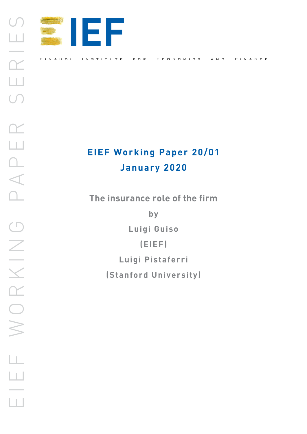

# **EIEF Working Paper 20/01 January 2020**

**The insurance role of the firm** 

**by**

**Luigi Guiso**

**(EIEF)** 

**Luigi Pistaferri**

**(Stanford University)**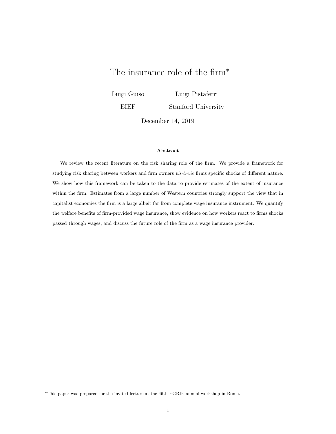# The insurance role of the firm<sup>\*</sup>

Luigi Guiso EIEF Luigi Pistaferri Stanford University

December 14, 2019

#### Abstract

We review the recent literature on the risk sharing role of the firm. We provide a framework for studying risk sharing between workers and firm owners vis-à-vis firms specific shocks of different nature. We show how this framework can be taken to the data to provide estimates of the extent of insurance within the firm. Estimates from a large number of Western countries strongly support the view that in capitalist economies the firm is a large albeit far from complete wage insurance instrument. We quantify the welfare benefits of firm-provided wage insurance, show evidence on how workers react to firms shocks passed through wages, and discuss the future role of the firm as a wage insurance provider.

<sup>∗</sup>This paper was prepared for the invited lecture at the 46th EGRIE annual workshop in Rome.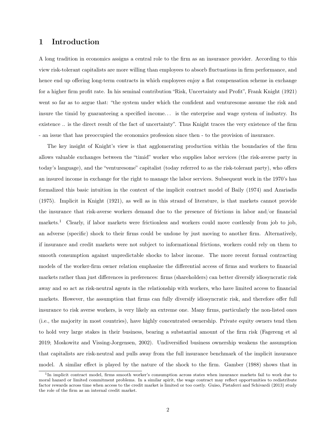# 1 Introduction

A long tradition in economics assigns a central role to the firm as an insurance provider. According to this view risk-tolerant capitalists are more willing than employees to absorb fluctuations in firm performance, and hence end up offering long-term contracts in which employees enjoy a flat compensation scheme in exchange for a higher firm profit rate. In his seminal contribution "Risk, Uncertainty and Profit", Frank Knight (1921) went so far as to argue that: "the system under which the confident and venturesome assume the risk and insure the timid by guaranteeing a specified income. . . is the enterprise and wage system of industry. Its existence .. is the direct result of the fact of uncertainty". Thus Knight traces the very existence of the firm - an issue that has preoccupied the economics profession since then - to the provision of insurance.

The key insight of Knight's view is that agglomerating production within the boundaries of the firm allows valuable exchanges between the "timid" worker who supplies labor services (the risk-averse party in today's language), and the "venturesome" capitalist (today referred to as the risk-tolerant party), who offers an insured income in exchange for the right to manage the labor services. Subsequent work in the 1970's has formalized this basic intuition in the context of the implicit contract model of Baily (1974) and Azariadis (1975). Implicit in Knight (1921), as well as in this strand of literature, is that markets cannot provide the insurance that risk-averse workers demand due to the presence of frictions in labor and/or financial markets.<sup>1</sup> Clearly, if labor markets were frictionless and workers could move costlessly from job to job, an adverse (specific) shock to their firms could be undone by just moving to another firm. Alternatively, if insurance and credit markets were not subject to informational frictions, workers could rely on them to smooth consumption against unpredictable shocks to labor income. The more recent formal contracting models of the worker-firm owner relation emphasize the differential access of firms and workers to financial markets rather than just differences in preferences: firms (shareholders) can better diversify idiosyncratic risk away and so act as risk-neutral agents in the relationship with workers, who have limited access to financial markets. However, the assumption that firms can fully diversify idiosyncratic risk, and therefore offer full insurance to risk averse workers, is very likely an extreme one. Many firms, particularly the non-listed ones (i.e., the majority in most countries), have highly concentrated ownership. Private equity owners tend then to hold very large stakes in their business, bearing a substantial amount of the firm risk (Fagereng et al 2019; Moskowitz and Vissing-Jorgensen, 2002). Undiversified business ownership weakens the assumption that capitalists are risk-neutral and pulls away from the full insurance benchmark of the implicit insurance model. A similar effect is played by the nature of the shock to the firm. Gamber (1988) shows that in

<sup>&</sup>lt;sup>1</sup>In implicit contract model, firms smooth worker's consumption across states when insurance markets fail to work due to moral hazard or limited commitment problems. In a similar spirit, the wage contract may reflect opportunities to redistribute factor rewards across time when access to the credit market is limited or too costly. Guiso, Pistaferri and Schivardi (2013) study the role of the firm as an internal credit market.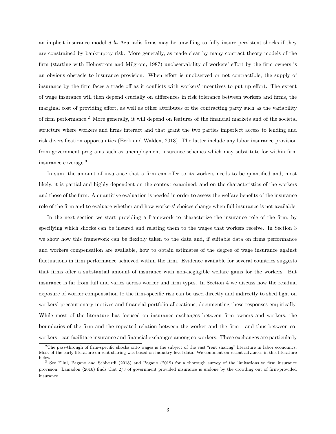an implicit insurance model  $\dot{a}$  la Azariadis firms may be unwilling to fully insure persistent shocks if they are constrained by bankruptcy risk. More generally, as made clear by many contract theory models of the firm (starting with Holmstrom and Milgrom, 1987) unobservability of workers' effort by the firm owners is an obvious obstacle to insurance provision. When effort is unobserved or not contractible, the supply of insurance by the firm faces a trade off as it conflicts with workers' incentives to put up effort. The extent of wage insurance will then depend crucially on differences in risk tolerance between workers and firms, the marginal cost of providing effort, as well as other attributes of the contracting party such as the variability of firm performance.<sup>2</sup> More generally, it will depend on features of the financial markets and of the societal structure where workers and firms interact and that grant the two parties imperfect access to lending and risk diversification opportunities (Berk and Walden, 2013). The latter include any labor insurance provision from government programs such as unemployment insurance schemes which may substitute for within firm insurance coverage.<sup>3</sup>

In sum, the amount of insurance that a firm can offer to its workers needs to be quantified and, most likely, it is partial and highly dependent on the context examined, and on the characteristics of the workers and those of the firm. A quantitive evaluation is needed in order to assess the welfare benefits of the insurance role of the firm and to evaluate whether and how workers' choices change when full insurance is not available.

In the next section we start providing a framework to characterize the insurance role of the firm, by specifying which shocks can be insured and relating them to the wages that workers receive. In Section 3 we show how this framework can be flexibly taken to the data and, if suitable data on firms performance and workers compensation are available, how to obtain estimates of the degree of wage insurance against fluctuations in firm performance achieved within the firm. Evidence available for several countries suggests that firms offer a substantial amount of insurance with non-negligible welfare gains for the workers. But insurance is far from full and varies across worker and firm types. In Section 4 we discuss how the residual exposure of worker compensation to the firm-specific risk can be used directly and indirectly to shed light on workers' precautionary motives and financial portfolio allocations, documenting these responses empirically. While most of the literature has focused on insurance exchanges between firm owners and workers, the boundaries of the firm and the repeated relation between the worker and the firm - and thus between coworkers - can facilitate insurance and financial exchanges among co-workers. These exchanges are particularly

<sup>2</sup>The pass-through of firm-specific shocks onto wages is the subject of the vast "rent sharing" literature in labor economics. Most of the early literature on rent sharing was based on industry-level data. We comment on recent advances in this literature below.

<sup>3</sup> See Ellul, Pagano and Schivardi (2018) and Pagano (2019) for a thorough survey of the limitations to firm insurance provision. Lamadon (2016) finds that 2/3 of government provided insurance is undone by the crowding out of firm-provided insurance.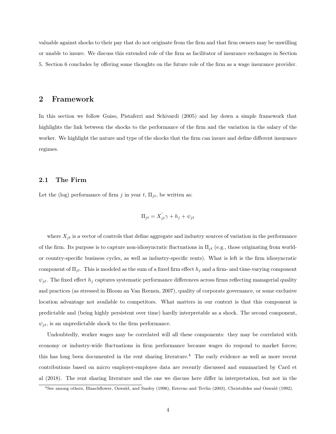valuable against shocks to their pay that do not originate from the firm and that firm owners may be unwilling or unable to insure. We discuss this extended role of the firm as facilitator of insurance exchanges in Section 5. Section 6 concludes by offering some thoughts on the future role of the firm as a wage insurance provider.

## 2 Framework

In this section we follow Guiso, Pistaferri and Schivardi (2005) and lay down a simple framework that highlights the link between the shocks to the performance of the firm and the variation in the salary of the worker. We highlight the nature and type of the shocks that the firm can insure and define different insurance regimes.

#### 2.1 The Firm

Let the (log) performance of firm j in year t,  $\Pi_{jt}$ , be written as:

$$
\Pi_{jt} = X_{jt}'\gamma + h_j + \psi_{jt}
$$

where  $X_{jt}$  is a vector of controls that define aggregate and industry sources of variation in the performance of the firm. Its purpose is to capture non-idiosyncratic fluctuations in  $\Pi_{it}$  (e.g., those originating from worldor country-specific business cycles, as well as industry-specific rents). What is left is the firm idiosyncratic component of  $\Pi_{jt}$ . This is modeled as the sum of a fixed firm effect  $h_j$  and a firm- and time-varying component  $\psi_{jt}$ . The fixed effect  $h_j$  captures systematic performance differences across firms reflecting managerial quality and practices (as stressed in Bloom an Van Reenen, 2007), quality of corporate governance, or some exclusive location advantage not available to competitors. What matters in our context is that this component is predictable and (being highly persistent over time) hardly interpretable as a shock. The second component,  $\psi_{jt}$ , is an unpredictable shock to the firm performance.

Undoubtedly, worker wages may be correlated will all these components: they may be correlated with economy or industry-wide fluctuations in firm performance because wages do respond to market forces; this has long been documented in the rent sharing literature.<sup>4</sup> The early evidence as well as more recent contributions based on micro employer-employee data are recently discussed and summarized by Card et al (2018). The rent sharing literature and the one we discuss here differ in interpretation, but not in the

<sup>4</sup>See among others, Blanchflower, Oswald, and Sanfey (1996), Estevao and Tevlin (2003), Christofides and Oswald (1992).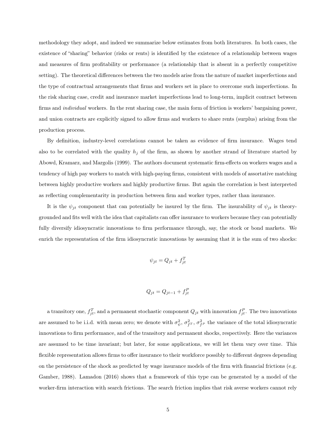methodology they adopt, and indeed we summarize below estimates from both literatures. In both cases, the existence of "sharing" behavior (risks or rents) is identified by the existence of a relationship between wages and measures of firm profitability or performance (a relationship that is absent in a perfectly competitive setting). The theoretical differences between the two models arise from the nature of market imperfections and the type of contractual arrangements that firms and workers set in place to overcome such imperfections. In the risk sharing case, credit and insurance market imperfections lead to long-term, implicit contract between firms and *individual* workers. In the rent sharing case, the main form of friction is workers' bargaining power, and union contracts are explicitly signed to allow firms and workers to share rents (surplus) arising from the production process.

By definition, industry-level correlations cannot be taken as evidence of firm insurance. Wages tend also to be correlated with the quality  $h_j$  of the firm, as shown by another strand of literature started by Abowd, Kramarz, and Margolis (1999). The authors document systematic firm-effects on workers wages and a tendency of high pay workers to match with high-paying firms, consistent with models of assortative matching between highly productive workers and highly productive firms. But again the correlation is best interpreted as reflecting complementarity in production between firm and worker types, rather than insurance.

It is the  $\psi_{jt}$  component that can potentially be insured by the firm. The insurability of  $\psi_{jt}$  is theorygrounded and fits well with the idea that capitalists can offer insurance to workers because they can potentially fully diversify idiosyncratic innovations to firm performance through, say, the stock or bond markets. We enrich the representation of the firm idiosyncratic innovations by assuming that it is the sum of two shocks:

$$
\psi_{jt} = Q_{jt} + f_{jt}^T
$$

$$
Q_{jt} = Q_{jt-1} + f_{jt}^P
$$

a transitory one,  $f_{jt}^T$ , and a permanent stochastic component  $Q_{jt}$  with innovation  $f_{jt}^P$ . The two innovations are assumed to be i.i.d. with mean zero; we denote with  $\sigma_{\psi}^2$ ,  $\sigma_{f}^2$ ,  $\sigma_{f}^2$  the variance of the total idiosyncratic innovations to firm performance, and of the transitory and permanent shocks, respectively. Here the variances are assumed to be time invariant; but later, for some applications, we will let them vary over time. This flexible representation allows firms to offer insurance to their workforce possibly to different degrees depending on the persistence of the shock as predicted by wage insurance models of the firm with financial frictions (e.g. Gamber, 1988). Lamadon (2016) shows that a framework of this type can be generated by a model of the worker-firm interaction with search frictions. The search friction implies that risk averse workers cannot rely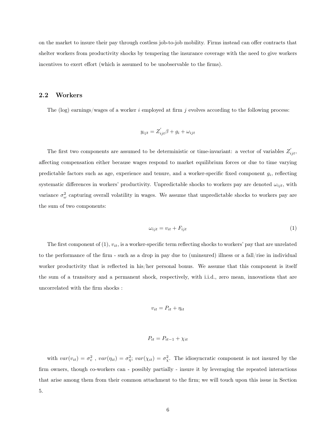on the market to insure their pay through costless job-to-job mobility. Firms instead can offer contracts that shelter workers from productivity shocks by tempering the insurance coverage with the need to give workers incentives to exert effort (which is assumed to be unobservable to the firms).

#### 2.2 Workers

The (log) earnings/wages of a worker  $i$  employed at firm  $j$  evolves according to the following process:

$$
y_{ijt} = Z_{ijt}'\beta + g_i + \omega_{ijt}
$$

The first two components are assumed to be deterministic or time-invariant: a vector of variables  $Z'_{ijt}$ , affecting compensation either because wages respond to market equilibrium forces or due to time varying predictable factors such as age, experience and tenure, and a worker-specific fixed component  $g_i$ , reflecting systematic differences in workers' productivity. Unpredictable shocks to workers pay are denoted  $\omega_{ijt}$ , with variance  $\sigma_{\omega}^2$  capturing overall volatility in wages. We assume that unpredictable shocks to workers pay are the sum of two components:

$$
\omega_{ijt} = v_{it} + F_{ijt} \tag{1}
$$

The first component of  $(1)$ ,  $v_{it}$ , is a worker-specific term reflecting shocks to workers' pay that are unrelated to the performance of the firm - such as a drop in pay due to (uninsured) illness or a fall/rise in individual worker productivity that is reflected in his/her personal bonus. We assume that this component is itself the sum of a transitory and a permanent shock, respectively, with i.i.d., zero mean, innovations that are uncorrelated with the firm shocks :

$$
v_{it} = P_{it} + \eta_{it}
$$

$$
P_{it} = P_{it-1} + \chi_{it}
$$

with  $var(v_{it}) = \sigma_v^2$ ,  $var(\eta_{it}) = \sigma_{\eta}^2$ ;  $var(\chi_{it}) = \sigma_v^2$ . The idiosyncratic component is not insured by the firm owners, though co-workers can - possibly partially - insure it by leveraging the repeated interactions that arise among them from their common attachment to the firm; we will touch upon this issue in Section 5.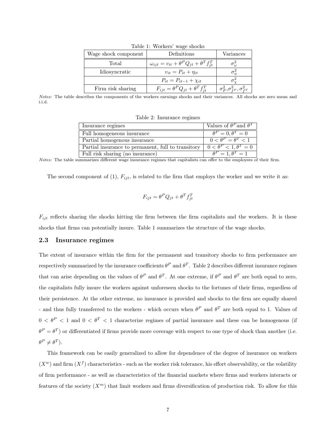| Wage shock component | Definitions                                                   | Variances                                    |  |
|----------------------|---------------------------------------------------------------|----------------------------------------------|--|
| Total                | $\omega_{ijt} = v_{it} + \theta^P Q_{jt} + \theta^T f_{it}^T$ |                                              |  |
| Idiosyncratic        | $v_{it} = P_{it} + \eta_{it}$                                 |                                              |  |
|                      | $P_{it} = P_{it-1} + \chi_{it}$                               |                                              |  |
| Firm risk sharing    | $F_{ijt} = \theta^P Q_{jt} + \theta^T f_{it}^T$               | $\sigma_F^2, \sigma_{f^P}^2, \sigma_{f^T}^2$ |  |

Table 1: Workers' wage shocks

Notes: The table describes the components of the workers earnings shocks and their variances. All shocks are zero mean and i.i.d.

Table 2: Insurance regimes

| Insurance regimes                                  | Values of $\theta^P$ and $\theta^T$ |
|----------------------------------------------------|-------------------------------------|
| Full homogeneous insurance                         | $\theta^P=0, \theta^T=0$            |
| Partial homogenous insurance                       | $0 < \theta^P = \theta^T < 1$       |
| Partial insurance to permanent, full to transitory | $0 < \theta^P < 1, \theta^T = 0$    |
| Full risk sharing (no insurance)                   | $\theta^P=1, \theta^T=1$            |

Notes: The table summarizes different wage insurance regimes that capitalists can offer to the employees of their firm.

The second component of (1),  $F_{iit}$ , is related to the firm that employs the worker and we write it as:

$$
F_{ijt} = \theta^P Q_{jt} + \theta^T f_{jt}^T
$$

 $F_{ijt}$  reflects sharing the shocks hitting the firm between the firm capitalists and the workers. It is these shocks that firms can potentially insure. Table 1 summarizes the structure of the wage shocks.

#### 2.3 Insurance regimes

The extent of insurance within the firm for the permanent and transitory shocks to firm performance are respectively summarized by the insurance coefficients  $\theta^P$  and  $\theta^T$ . Table 2 describes different insurance regimes that can arise depending on the values of  $\theta^P$  and  $\theta^T$ . At one extreme, if  $\theta^P$  and  $\theta^T$  are both equal to zero, the capitalists fully insure the workers against unforeseen shocks to the fortunes of their firms, regardless of their persistence. At the other extreme, no insurance is provided and shocks to the firm are equally shared - and thus fully transferred to the workers - which occurs when  $\theta^P$  and  $\theta^T$  are both equal to 1. Values of  $0 < \theta^P < 1$  and  $0 < \theta^T < 1$  characterize regimes of partial insurance and these can be homogenous (if  $\theta^P = \theta^T$ ) or differentiated if firms provide more coverage with respect to one type of shock than another (i.e.  $\theta^P \neq \theta^T$ ).

This framework can be easily generalized to allow for dependence of the degree of insurance on workers  $(X^w)$  and firm  $(X^f)$  characteristics - such as the worker risk tolerance, his effort observability, or the volatility of firm performance - as well as characteristics of the financial markets where firms and workers interacts or features of the society  $(X<sup>m</sup>)$  that limit workers and firms diversification of production risk. To allow for this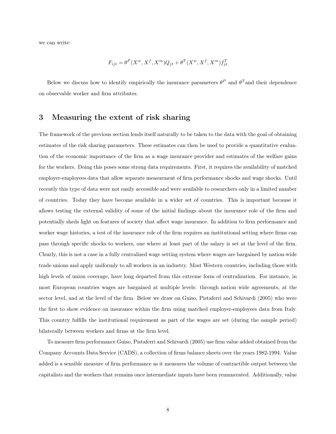we can write:

$$
F_{ijt} = \theta^P(X^w, X^f, X^m)Q_{jt} + \theta^T(X^w, X^f, X^m)f_{jt}^T
$$

Below we discuss how to identify empirically the insurance parameters  $\theta^P$  and  $\theta^T$  and their dependence on observable worker and firm attributes.

# 3 Measuring the extent of risk sharing

The framework of the previous section lends itself naturally to be taken to the data with the goal of obtaining estimates of the risk sharing parameters. These estimates can then be used to provide a quantitative evaluation of the economic importance of the firm as a wage insurance provider and estimates of the welfare gains for the workers. Doing this poses some strong data requirements. First, it requires the availability of matched employer-employees data that allow separate measurment of firm performance shocks and wage shocks. Until recently this type of data were not easily accessible and were available to researchers only in a limited number of countries. Today they have become available in a wider set of countries. This is important because it allows testing the external validity of some of the initial findings about the insurance role of the firm and potentially sheds light on features of society that affect wage insurance. In addition to firm performance and worker wage histories, a test of the insurance role of the firm requires an institutional setting where firms can pass through specific shocks to workers, one where at least part of the salary is set at the level of the firm. Clearly, this is not a case in a fully centralized wage setting system where wages are bargained by nation-wide trade unions and apply uniformly to all workers in an industry. Most Western countries, including those with high levels of union coverage, have long departed from this extreme form of centralization. For instance, in most European countries wages are bargained at multiple levels: through nation wide agreements, at the sector level, and at the level of the firm. Below we draw on Guiso, Pistaferri and Schivardi (2005) who were the first to show evidence on insurance within the firm using matched employer-employees data from Italy. This country fulfills the institutional requirement as part of the wages are set (during the sample period) bilaterally between workers and firms at the firm level.

To measure firm performance Guiso, Pistaferri and Schivardi (2005) use firm value added obtained from the Company Accounts Data Service (CADS), a collection of firms balance sheets over the years 1982-1994. Value added is a sensible measure of firm performance as it measures the volume of contractible output between the capitalists and the workers that remains once intermediate inputs have been remunerated. Additionally, value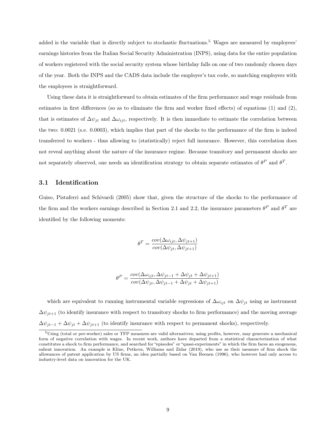added is the variable that is directly subject to stochastic fluctuations.<sup>5</sup> Wages are measured by employees' earnings histories from the Italian Social Security Administration (INPS), using data for the entire population of workers registered with the social security system whose birthday falls on one of two randomly chosen days of the year. Both the INPS and the CADS data include the employer's tax code, so matching employers with the employees is straightforward.

Using these data it is straightforward to obtain estimates of the firm performance and wage residuals from estimates in first differences (so as to eliminate the firm and worker fixed effects) of equations (1) and (2), that is estimates of  $\Delta \psi_{jt}$  and  $\Delta \omega_{ijt}$ , respectively. It is then immediate to estimate the correlation between the two: 0.0021 (s.e. 0.0003), which implies that part of the shocks to the performance of the firm is indeed transferred to workers - thus allowing to (statistically) reject full insurance. However, this correlation does not reveal anything about the nature of the insurance regime. Because transitory and permanent shocks are not separately observed, one needs an identification strategy to obtain separate estimates of  $\theta^P$  and  $\theta^T$ .

#### 3.1 Identification

Guiso, Pistaferri and Schivardi (2005) show that, given the structure of the shocks to the performance of the firm and the workers earnings described in Section 2.1 and 2.2, the insurance parameters  $\theta^P$  and  $\theta^T$  are identified by the following moments:

$$
\theta^T = \frac{cov(\Delta \omega_{ijt}, \Delta \psi_{jt+1})}{cov(\Delta \psi_{jt}, \Delta \psi_{jt+1})}
$$

$$
\theta^P = \frac{cov(\Delta \omega_{ijt}, \Delta \psi_{jt-1} + \Delta \psi_{jt} + \Delta \psi_{jt+1})}{cov(\Delta \psi_{jt}, \Delta \psi_{jt-1} + \Delta \psi_{jt} + \Delta \psi_{jt+1})}
$$

which are equivalent to running instrumental variable regressions of  $\Delta\omega_{ijt}$  on  $\Delta\psi_{jt}$  using as instrument  $\Delta\psi_{it+1}$  (to identify insurance with respect to transitory shocks to firm performance) and the moving average  $\Delta \psi_{jt-1} + \Delta \psi_{jt} + \Delta \psi_{jt+1}$  (to identify insurance with respect to permanent shocks), respectively.

<sup>5</sup>Using (total or per-worker) sales or TFP measures are valid alternatives; using profits, however, may generate a mechanical form of negative correlation with wages. In recent work, authors have departed from a statistical characterization of what constitutes a shock to firm performance, and searched for "episodes" or "quasi-experiments" in which the firm faces an exogenous, salient innovation. An example is Kline, Petkova, Williams and Zidar (2019), who use as their measure of firm shock the allowances of patent application by US firms, an idea partially based on Van Reenen (1996), who however had only access to industry-level data on innovation for the UK.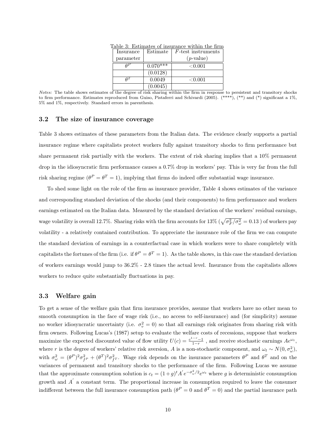| .wore o, modificated of historice within the him. |            |                       |  |
|---------------------------------------------------|------------|-----------------------|--|
| Insurance                                         | Estimate   | $F$ -test instruments |  |
| parameter                                         |            | $(p$ -value)          |  |
|                                                   | $0.070***$ | $<\!\!0.001$          |  |
|                                                   | (0.0128)   |                       |  |
|                                                   | 0.0049     | $<\!\!0.001$          |  |
|                                                   | (0.0045)   |                       |  |

Table 3: Estimates of insurance within the firm

Notes: The table shows estimates of the degree of risk sharing within the firm in response to persistent and transitory shocks to firm performance. Estimates reproduced from Guiso, Pistaferri and Schivardi (2005). (\*\*\*\*), (\*\*) and (\*) significant a 1%, 5% and 1%, respectively. Standard errors in parenthesis.

#### 3.2 The size of insurance coverage

Table 3 shows estimates of these parameters from the Italian data. The evidence clearly supports a partial insurance regime where capitalists protect workers fully against transitory shocks to firm performance but share permanent risk partially with the workers. The extent of risk sharing implies that a 10% permanent drop in the idiosyncratic firm performance causes a 0.7% drop in workers' pay. This is very far from the full risk sharing regime  $(\theta^P = \theta^T = 1)$ , implying that firms do indeed offer substantial wage insurance.

To shed some light on the role of the firm as insurance provider, Table 4 shows estimates of the variance and corresponding standard deviation of the shocks (and their components) to firm performance and workers earnings estimated on the Italian data. Measured by the standard deviation of the workers' residual earnings, wage volatility is overall 12.7%. Sharing risks with the firm accounts for  $13\%$  ( $\sqrt{\sigma_F^2/\sigma_\omega^2} = 0.13$ ) of workers pay volatility - a relatively contained contribution. To appreciate the insurance role of the firm we can compute the standard deviation of earnings in a counterfactual case in which workers were to share completely with capitalists the fortunes of the firm (i.e. if  $\theta^P = \theta^T = 1$ ). As the table shows, in this case the standard deviation of workers earnings would jump to 36.2% - 2.8 times the actual level. Insurance from the capitalists allows workers to reduce quite substantially fluctuations in pay.

#### 3.3 Welfare gain

To get a sense of the welfare gain that firm insurance provides, assume that workers have no other mean to smooth consumption in the face of wage risk (i.e., no access to self-insurance) and (for simplicity) assume no worker idiosyncratic uncertainty (i.e.  $\sigma_v^2 = 0$ ) so that all earnings risk originates from sharing risk with firm owners. Following Lucas's (1987) setup to evaluate the welfare costs of recessions, suppose that workers maximize the expected discounted value of flow utility  $U(c) = \frac{c^{1-r}-1}{1-r}$ , and receive stochastic earnings  $Ae^{\omega_t}$ , where r is the degree of workers' relative risk aversion, A is a non-stochastic component, and  $\omega_t \sim N(0, \sigma_\omega^2)$ , with  $\sigma_{\omega}^2 = (\theta^P)^2 \sigma_{f^P}^2 + (\theta^T)^2 \sigma_{f^T}^2$ . Wage risk depends on the insurance parameters  $\theta^P$  and  $\theta^T$  and on the variances of permanent and transitory shocks to the performance of the firm. Following Lucas we assume that the approximate consumption solution is  $c_t = (1+g)^t A' e^{-\sigma_{\omega}^2/2} e^{\omega_t}$  where g is deterministic consumption growth and  $A'$  a constant term. The proportional increase in consumption required to leave the consumer indifferent between the full insurance consumption path  $(\theta^P = 0$  and  $\theta^T = 0)$  and the partial insurance path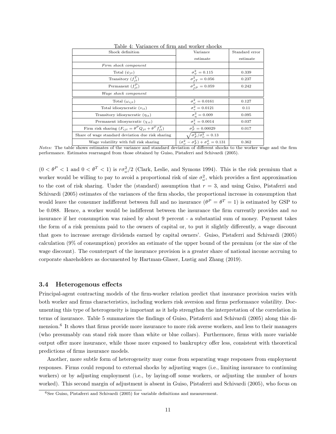| Shock definition                                                    | Variance                                                     | Standard error |
|---------------------------------------------------------------------|--------------------------------------------------------------|----------------|
|                                                                     | estimate                                                     | estimate       |
| Firm shock component                                                |                                                              |                |
| Total $(\psi_{it})$                                                 | $\sigma_{\psi}^2 = 0.115$                                    | 0.339          |
| Transitory $(f_{it}^T)$                                             | $\sigma_{fT}^2 = 0.056$                                      | 0.237          |
| Permanent $(f_{it}^P)$                                              | $\sigma_{\,eP}^2 = 0.059$                                    | 0.242          |
| Wage shock component                                                |                                                              |                |
| Total $(\omega_{i\,it})$                                            | $\sigma_{\omega}^2 = 0.0161$                                 | 0.127          |
| Total idiosyncratic $(v_{it})$                                      | $\sigma_v^2 = 0.0121$                                        | 0.11           |
| Transitory idiosyncratic $(\eta_{it})$                              | $\sigma_n^2 = 0.009$                                         | 0.095          |
| Permanent idiosyncratic $(\chi_{it})$                               | $\sigma_{v}^{2} = 0.0014$                                    | 0.037          |
| Firm risk sharing $(F_{ijt} = \theta^P Q_{jt} + \theta^T f_{it}^T)$ | $\sigma_F^2 = 0.00029$                                       | 0.017          |
| Share of wage standard deviation due risk sharing                   | $\sqrt{\sigma_F^2/\sigma_\omega^2} = 0.13$                   |                |
| Wage volatility with full risk sharing                              | $(\sigma_{\omega}^2 - \sigma_F^2) + \sigma_{\psi}^2 = 0.131$ | 0.362          |

Table 4: Variances of firm and worker shocks

Notes: The table shows estimates of the variance and standard deviation of different shocks to the worker wage and the firm performance. Estimates rearranged from those obtained by Guiso, Pistaferri and Schivardi (2005).

 $(0 < \theta^P < 1$  and  $0 < \theta^T < 1)$  is  $r\sigma_\omega^2/2$  (Clark, Leslie, and Symons 1994). This is the risk premium that a worker would be willing to pay to avoid a proportional risk of size  $\sigma_{\omega}^2$ , which provides a first approximation to the cost of risk sharing. Under the (standard) assumption that  $r = 3$ , and using Guiso, Pistaferri and Schivardi (2005) estimates of the variances of the firm shocks, the proportional increase in consumption that would leave the consumer indifferent between full and no insurance  $(\theta^P = \theta^T = 1)$  is estimated by GSP to be 0.088. Hence, a worker would be indifferent between the insurance the firm currently provides and no insurance if her consumption was raised by about 9 percent - a substantial sum of money. Payment takes the form of a risk premium paid to the owners of capital or, to put it slightly differently, a wage discount that goes to increase average dividends earned by capital owners'. Guiso, Pistaferri and Schivardi (2005) calculation (9% of consumption) provides an estimate of the upper bound of the premium (or the size of the wage discount). The counterpart of the insurance provision is a greater share of national income accruing to corporate shareholders as documented by Hartman-Glaser, Lustig and Zhang (2019).

#### 3.4 Heterogenous effects

Principal-agent contracting models of the firm-worker relation predict that insurance provision varies with both worker and firms characteristics, including workers risk aversion and firms performance volatility. Documenting this type of heterogeneity is important as it help strengthen the interpretation of the correlation in terms of insurance. Table 5 summarizes the findings of Guiso, Pistaferri and Schivardi (2005) along this dimension.<sup>6</sup> It shows that firms provide more insurance to more risk averse workers, and less to their managers (who presumably can stand risk more than white or blue collars). Furthermore, firms with more variable output offer more insurance, while those more exposed to bankruptcy offer less, consistent with theoretical predictions of firms insurance models.

Another, more subtle form of heterogeneity may come from separating wage responses from employment responses. Firms could respond to external shocks by adjusting wages (i.e., limiting insurance to continuing workers) or by adjusting employment (i.e., by laying-off some workers, or adjusting the number of hours worked). This second margin of adjustment is absent in Guiso, Pistaferri and Schivardi (2005), who focus on

<sup>6</sup>See Guiso, Pistaferri and Schivardi (2005) for variable definitions and measurement.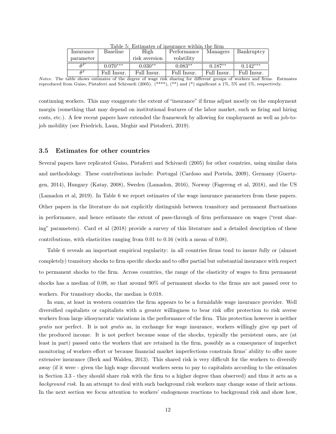| Insurance | <b>Baseline</b> | High          | Performance | Managers    | Bankruptcy  |
|-----------|-----------------|---------------|-------------|-------------|-------------|
| parameter |                 | risk aversion | volatility  |             |             |
| $A^P$     | $0.070***$      | $0.030**$     | $0.083**$   | $0.187**$   | $0.142***$  |
| $A^T$     | Full Insur.     | Full Insur.   | Full Insur. | Full Insur. | Full Insur. |

Table 5: Estimates of insurance within the firm

continuing workers. This may exaggerate the extent of "insurance" if firms adjust mostly on the employment margin (something that may depend on institutional features of the labor market, such as firing and hiring costs, etc.). A few recent papers have extended the framework by allowing for employment as well as job-tojob mobility (see Friedrich, Laun, Meghir and Pistaferri, 2019).

#### 3.5 Estimates for other countries

Several papers have replicated Guiso, Pistaferri and Schivardi (2005) for other countries, using similar data and methodology. These contributions include: Portugal (Cardoso and Portela, 2009), Germany (Guertzgen, 2014), Hungary (Katay, 2008), Sweden (Lamadon, 2016), Norway (Fagereng et al, 2018), and the US (Lamadon et al, 2019). In Table 6 we report estimates of the wage insurance parameters from these papers. Other papers in the literature do not explicitly distinguish between transitory and permanent fluctuations in performance, and hence estimate the extent of pass-through of firm performance on wages ("rent sharing" parameters). Card et al (2018) provide a survey of this literature and a detailed description of these contributions, with elasticities ranging from 0.01 to 0.16 (with a mean of 0.08).

Table 6 reveals an important empirical regularity: in all countries firms tend to insure fully or (almost completely) transitory shocks to firm specific shocks and to offer partial but substantial insurance with respect to permanent shocks to the firm. Across countries, the range of the elasticity of wages to firm permanent shocks has a median of 0.08, so that around 90% of permanent shocks to the firms are not passed over to workers. For transitory shocks, the median is 0.018.

In sum, at least in western countries the firm appears to be a formidable wage insurance provider. Well diversified capitalists or capitalists with a greater willingness to bear risk offer protection to risk averse workers from large idiosyncratic variations in the performance of the firm. This protection however is neither gratis nor perfect. It is not gratis as, in exchange for wage insurance, workers willingly give up part of the produced income. It is not perfect because some of the shocks, typically the persistent ones, are (at least in part) passed onto the workers that are retained in the firm, possibly as a consequence of imperfect monitoring of workers effort or because financial market imperfections constrain firms' ability to offer more extensive insurance (Berk and Walden, 2013). This shared risk is very difficult for the workers to diversify away (if it were - given the high wage discount workers seem to pay to capitalists according to the estimates in Section 3.3 - they should share risk with the firm to a higher degree than observed) and thus it acts as a background risk. In an attempt to deal with such background risk workers may change some of their actions. In the next section we focus attention to workers' endogenous reactions to background risk and show how,

Notes: The table shows estimates of the degree of wage risk sharing for different groups of workers and firms. Estimates reproduced from Guiso, Pistaferri and Schivardi (2005). (\*\*\*\*), (\*\*) and (\*) significant a 1%, 5% and 1%, respectively.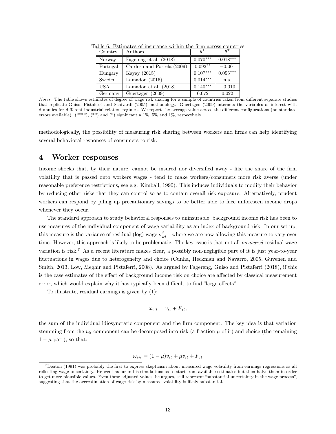| Country    | Authors                    | $A^P$      | $\rho^T$   |
|------------|----------------------------|------------|------------|
| Norway     | Fagereng et al. (2018)     | $0.070***$ | $0.018***$ |
| Portugal   | Cardoso and Portela (2009) | $0.092**$  | $-0.001$   |
| Hungary    | Kayay (2015)               | $0.107***$ | $0.055***$ |
| Sweden     | Lamadon $(2016)$           | $0.014***$ | n.a.       |
| <b>USA</b> | Lamadon et al. $(2018)$    | $0.140***$ | $-0.010$   |
| Germany    | Guertzgen (2009)           | 0.072      | 0.022      |

Table 6: Estimates of insurance within the firm across countries

Notes: The table shows estimates of degree of wage risk sharing for a sample of countries taken from different separate studies that replicate Guiso, Pistaferri and Schivardi (2005) methodology. Guertzgen (2009) interacts the variables of interest with dummies for different industrial relation regimes. We report the average value across the different configurations (no standard errors available). (\*\*\*\*), (\*\*) and (\*) significant a 1%, 5% and 1%, respectively.

methodologically, the possibility of measuring risk sharing between workers and firms can help identifying several behavioral responses of consumers to risk.

## 4 Worker responses

Income shocks that, by their nature, cannot be insured nor diversified away - like the share of the firm volatility that is passed onto workers wages - tend to make workers/consumers more risk averse (under reasonable preference restrictions, see e.g. Kimball, 1990). This induces individuals to modify their behavior by reducing other risks that they can control so as to contain overall risk exposure. Alternatively, prudent workers can respond by piling up precautionary savings to be better able to face unforeseen income drops whenever they occur.

The standard approach to study behavioral responses to uninsurable, background income risk has been to use measures of the individual component of wage variability as an index of background risk. In our set up, this measure is the variance of residual (log) wage  $\sigma_{\omega t}^2$  - where we are now allowing this measure to vary over time. However, this approach is likely to be problematic. The key issue is that not all *measured* residual wage variation is risk.<sup>7</sup> As a recent literature makes clear, a possibly non-negligible part of it is just year-to-year fluctuations in wages due to heterogeneity and choice (Cunha, Heckman and Navarro, 2005, Guvenen and Smith, 2013, Low, Meghir and Pistaferri, 2008). As argued by Fagereng, Guiso and Pistaferri (2018), if this is the case estimates of the effect of background income risk on choice are affected by classical measurement error, which would explain why it has typically been difficult to find "large effects".

To illustrate, residual earnings is given by (1):

$$
\omega_{ijt} = v_{it} + F_{jt},
$$

the sum of the individual idiosyncratic component and the firm component. The key idea is that variation stemming from the  $v_{it}$  component can be decomposed into risk (a fraction  $\mu$  of it) and choice (the remaining  $1 - \mu$  part), so that:

$$
\omega_{ijt} = (1 - \mu)v_{it} + \mu v_{it} + F_{jt}
$$

<sup>7</sup>Deaton (1991) was probably the first to express skepticism about measured wage volatility from earnings regressions as all reflecting wage uncertainty. He went as far in his simulations as to start from available estimates but then halve them in order to get more plausible values. Even these adjusted values, he argues, still represent "substantial uncertainty in the wage process", suggesting that the overestimation of wage risk by measured volatility is likely substantial.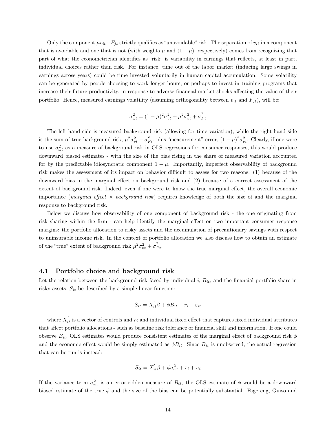Only the component  $\mu v_{it}+F_{jt}$  strictly qualifies as "unavoidable" risk. The separation of  $v_{it}$  in a component that is avoidable and one that is not (with weights  $\mu$  and  $(1 - \mu)$ , respectively) comes from recognizing that part of what the econometrician identifies as "risk" is variability in earnings that reflects, at least in part, individual choices rather than risk. For instance, time out of the labor market (inducing large swings in earnings across years) could be time invested voluntarily in human capital accumulation. Some volatility can be generated by people choosing to work longer hours, or perhaps to invest in training programs that increase their future productivity, in response to adverse financial market shocks affecting the value of their portfolio. Hence, measured earnings volatility (assuming orthogonality between  $v_{it}$  and  $F_{jt}$ ), will be:

$$
\sigma_{\omega t}^{2} = (1 - \mu)^{2} \sigma_{vt}^{2} + \mu^{2} \sigma_{vt}^{2} + \sigma_{F t}^{2}
$$

The left hand side is measured background risk (allowing for time variation), while the right hand side is the sum of true background risk,  $\mu^2 \sigma_{vt}^2 + \sigma_{Ft}^2$ , plus "measurement" error,  $(1 - \mu)^2 \sigma_{vt}^2$ . Clearly, if one were to use  $\sigma_{\omega t}^2$  as a measure of background risk in OLS regressions for consumer responses, this would produce downward biased estimates - with the size of the bias rising in the share of measured variation accounted for by the predictable idiosyncratic component  $1 - \mu$ . Importantly, imperfect observability of background risk makes the assessment of its impact on behavior difficult to assess for two reasons: (1) because of the downward bias in the marginal effect on background risk and (2) because of a correct assessment of the extent of background risk. Indeed, even if one were to know the true marginal effect, the overall economic importance (marginal effect  $\times$  background risk) requires knowledge of both the size of and the marginal response to background risk.

Below we discuss how observability of one component of background risk - the one originating from risk sharing within the firm - can help identify the marginal effect on two important consumer response margins: the portfolio allocation to risky assets and the accumulation of precautionary savings with respect to uninsurable income risk. In the context of portfolio allocation we also discuss how to obtain an estimate of the "true" extent of background risk  $\mu^2 \sigma_{vt}^2 + \sigma_{Ft}^2$ .

#### 4.1 Portfolio choice and background risk

Let the relation between the background risk faced by individual  $i$ ,  $B_{it}$ , and the financial portfolio share in risky assets,  $S_{it}$  be described by a simple linear function:

$$
S_{it} = X_{it}'\beta + \phi B_{it} + r_i + \varepsilon_{it}
$$

where  $X'_{it}$  is a vector of controls and  $r_i$  and individual fixed effect that captures fixed individual attributes that affect portfolio allocations - such as baseline risk tolerance or financial skill and information. If one could observe  $B_{it}$ , OLS estimates would produce consistent estimates of the marginal effect of background risk  $\phi$ and the economic effect would be simply estimated as  $\phi B_{it}$ . Since  $B_{it}$  is unobserved, the actual regression that can be run is instead:

$$
S_{it} = X_{it}'\beta + \phi\sigma_{\omega t}^2 + r_i + u_i
$$

If the variance term  $\sigma_{\omega t}^2$  is an error-ridden measure of  $B_{it}$ , the OLS estimate of  $\phi$  would be a downward biased estimate of the true  $\phi$  and the size of the bias can be potentially substantial. Fagereng, Guiso and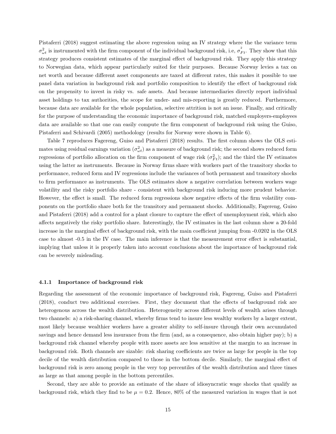Pistaferri (2018) suggest estimating the above regression using an IV strategy where the the variance term  $\sigma_{\omega t}^2$  is instrumented with the firm component of the individual background risk, i.e,  $\sigma_{Ft}^2$ . They show that this strategy produces consistent estimates of the marginal effect of background risk. They apply this strategy to Norwegian data, which appear particularly suited for their purposes. Because Norway levies a tax on net worth and because different asset components are taxed at different rates, this makes it possible to use panel data variation in background risk and portfolio composition to identify the effect of background risk on the propensity to invest in risky vs. safe assets. And because intermediaries directly report individual asset holdings to tax authorities, the scope for under- and mis-reporting is greatly reduced. Furthermore, because data are available for the whole population, selective attrition is not an issue. Finally, and critically for the purpose of understanding the economic importance of background risk, matched employers-employees data are available so that one can easily compute the firm component of background risk using the Guiso, Pistaferri and Schivardi (2005) methodology (results for Norway were shown in Table 6).

Table 7 reproduces Fagereng, Guiso and Pistaferri (2018) results. The first column shows the OLS estimates using residual earnings variation  $(\sigma_{\omega t}^2)$  as a measure of background risk; the second shows reduced form regressions of portfolio allocation on the firm component of wage risk  $(\sigma_{Ft}^2)$ ; and the third the IV estimates using the latter as instruments. Because in Norway firms share with workers part of the transitory shocks to performance, reduced form and IV regressions include the variances of both permanent and transitory shocks to firm performance as instruments. The OLS estimates show a negative correlation between workers wage volatility and the risky portfolio share - consistent with background risk inducing more prudent behavior. However, the effect is small. The reduced form regressions show negative effects of the firm volatility components on the portfolio share both for the transitory and permanent shocks. Additionally, Fagereng, Guiso and Pistaferri (2018) add a control for a plant closure to capture the effect of unemployment risk, which also affects negatively the risky portfolio share. Interestingly, the IV estimates in the last column show a 20-fold increase in the marginal effect of background risk, with the main coefficient jumping from -0.0202 in the OLS case to almost -0.5 in the IV case. The main inference is that the measurement error effect is substantial, implying that unless it is properly taken into account conclusions about the importance of background risk can be severely misleading.

#### 4.1.1 Importance of background risk

Regarding the assessment of the economic importance of background risk, Fagereng, Guiso and Pistaferri (2018), conduct two additional exercises. First, they document that the effects of background risk are heterogenous across the wealth distribution. Heterogeneity across different levels of wealth arises through two channels: a) a risk-sharing channel, whereby firms tend to insure less wealthy workers by a larger extent, most likely because wealthier workers have a greater ability to self-insure through their own accumulated savings and hence demand less insurance from the firm (and, as a consequence, also obtain higher pay); b) a background risk channel whereby people with more assets are less sensitive at the margin to an increase in background risk. Both channels are sizable: risk sharing coefficients are twice as large for people in the top decile of the wealth distribution compared to those in the bottom decile. Similarly, the marginal effect of background risk is zero among people in the very top percentiles of the wealth distribution and three times as large as that among people in the bottom percentiles.

Second, they are able to provide an estimate of the share of idiosyncratic wage shocks that qualify as background risk, which they find to be  $\mu = 0.2$ . Hence, 80% of the measured variation in wages that is not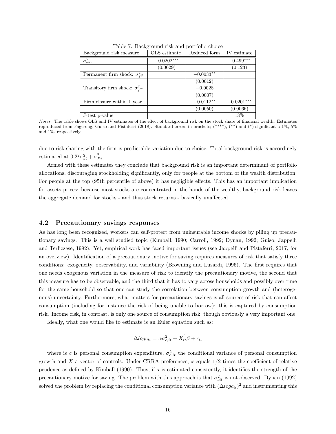| Background risk measure                    | OLS estimate | Reduced form | IV estimate  |
|--------------------------------------------|--------------|--------------|--------------|
| $\sigma_{\omega i t}^2$                    | $-0.0202***$ |              | $-0.499***$  |
|                                            | (0.0029)     |              | (0.123)      |
| Permanent firm shock: $\sigma_{P}^2$       |              | $-0.0033**$  |              |
|                                            |              | (0.0012)     |              |
| Transitory firm shock: $\sigma_{\tau T}^2$ |              | $-0.0028$    |              |
|                                            |              | (0.0007)     |              |
| Firm closure within 1 year                 |              | $-0.0112**$  | $-0.0201***$ |
|                                            |              | (0.0050)     | (0.0066)     |
| J-test p-value                             |              |              | 13%          |

Table 7: Background risk and portfolio choice

Notes: The table shows OLS and IV estimates of the effect of background risk on the stock share of financial wealth. Estimates reproduced from Fagereng, Guiso and Pistaferri (2018). Standard errors in brackets;  $(****)$ ,  $(**)$  and  $(*)$  significant a 1%, 5% and 1%, respectively.

due to risk sharing with the firm is predictable variation due to choice. Total background risk is accordingly estimated at  $0.2^2 \sigma_{vt}^2 + \sigma_{Ft}^2$ .

Armed with these estimates they conclude that background risk is an important determinant of portfolio allocations, discouraging stockholding significantly, only for people at the bottom of the wealth distribution. For people at the top (95th percentile of above) it has negligible effects. This has an important implication for assets prices: because most stocks are concentrated in the hands of the wealthy, background risk leaves the aggregate demand for stocks - and thus stock returns - basically unaffected.

#### 4.2 Precautionary savings responses

As has long been recognized, workers can self-protect from uninsurable income shocks by piling up precautionary savings. This is a well studied topic (Kimball, 1990; Carroll, 1992; Dynan, 1992; Guiso, Jappelli and Terlizzese, 1992). Yet, empirical work has faced important issues (see Jappelli and Pistaferri, 2017, for an overview). Identification of a precautionary motive for saving requires measures of risk that satisfy three conditions: exogeneity, observability, and variability (Browning and Lusardi, 1996). The first requires that one needs exogenous variation in the measure of risk to identify the precautionary motive, the second that this measure has to be observable, and the third that it has to vary across households and possibly over time for the same household so that one can study the correlation between consumption growth and (heterogenous) uncertainty. Furthermore, what matters for precautionary savings is all sources of risk that can affect consumption (including for instance the risk of being unable to borrow): this is captured by consumption risk. Income risk, in contrast, is only one source of consumption risk, though obviously a very important one.

Ideally, what one would like to estimate is an Euler equation such as:

$$
\Delta log c_{it} = \alpha \sigma_{c,it}^2 + X_{it}^{'} \beta + \epsilon_{it}
$$

where is c is personal consumption expenditure,  $\sigma_{c,it}^2$  the conditional variance of personal consumption growth and X a vector of controls. Under CRRA preferences,  $\alpha$  equals  $1/2$  times the coefficient of relative prudence as defined by Kimball (1990). Thus, if α is estimated consistently, it identifies the strength of the precautionary motive for saving. The problem with this approach is that  $\sigma_{cit}^2$  is not observed. Dynan (1992) solved the problem by replacing the conditional consumption variance with  $(\Delta log c_{it})^2$  and instrumenting this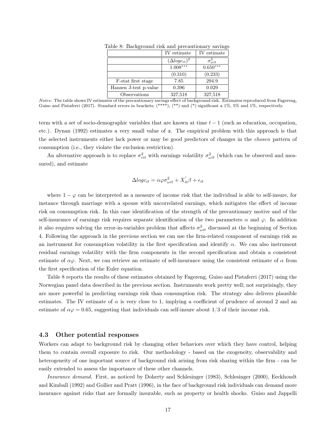|                       | IV estimate             | IV estimate             |
|-----------------------|-------------------------|-------------------------|
|                       | $(\Delta log c_{it})^2$ | $\sigma_{\omega i t}^2$ |
|                       | $1.008***$              | $0.650***$              |
|                       | (0.310)                 | (0.233)                 |
| F-stat first stage    | 7.85                    | 294.9                   |
| Hansen J-test p-value | 0.396                   | 0.029                   |
| Observations          | 327,518                 | 327,518                 |

Table 8: Background risk and precautionary savings

term with a set of socio-demographic variables that are known at time  $t - 1$  (such as education, occupation, etc.). Dynan (1992) estimates a very small value of α. The empirical problem with this approach is that the selected instruments either lack power or may be good predictors of changes in the chosen pattern of consumption (i.e., they violate the exclusion restriction).

An alternative approach is to replace  $\sigma_{cit}^2$  with earnings volatility  $\sigma_{\omega it}^2$  (which can be observed and measured), and estimate

$$
\Delta log c_{it} = \alpha \varphi \sigma_{\omega it}^2 + X_{it}^{\prime} \beta + \epsilon_{it}
$$

where  $1 - \varphi$  can be interpreted as a measure of income risk that the individual is able to self-insure, for instance through marriage with a spouse with uncorrelated earnings, which mitigates the effect of income risk on consumption risk. In this case identification of the strength of the precautionary motive and of the self-insurance of earnings risk requires separate identification of the two parameters  $\alpha$  and  $\varphi$ . In addition it also requires solving the error-in-variables problem that affects  $\sigma_{\omega i t}^2$  discussed at the beginning of Section 4. Following the approach in the previous section we can use the firm-related component of earnings risk as an instrument for consumption volatility in the first specification and identify  $\alpha$ . We can also instrument residual earnings volatility with the firm components in the second specification and obtain a consistent estimate of  $\alpha\varphi$ . Next, we can retrieve an estimate of self-insurance using the consistent estimate of  $\alpha$  from the first specification of the Euler equation.

Table 8 reports the results of these estimates obtained by Fagereng, Guiso and Pistaferri (2017) using the Norwegian panel data described in the previous section. Instruments work pretty well; not surprisingly, they are more powerful in predicting earnings risk than consumption risk. The strategy also delivers plausible estimates. The IV estimate of  $\alpha$  is very close to 1, implying a coefficient of prudence of around 2 and an estimate of  $\alpha\varphi = 0.65$ , suggesting that individuals can self-insure about 1/3 of their income risk.

#### 4.3 Other potential responses

Workers can adapt to background risk by changing other behaviors over which they have control, helping them to contain overall exposure to risk. Our methodology - based on the exogeneity, observability and heterogeneity of one important source of background risk arising from risk sharing within the firm - can be easily extended to assess the importance of these other channels.

Insurance demand. First, as noticed by Doherty and Schlesinger (1983), Schlesinger (2000), Eeckhoudt and Kimball (1992) and Gollier and Pratt (1996), in the face of background risk individuals can demand more insurance against risks that are formally insurable, such as property or health shocks. Guiso and Jappelli

Notes: The table shows IV estimates of the precautionary savings effect of background risk. Estimates reproduced from Fagereng, Guiso and Pistaferri (2017). Standard errors in brackets; (\*\*\*\*), (\*\*) and (\*) significant a 1%, 5% and 1%, respectively.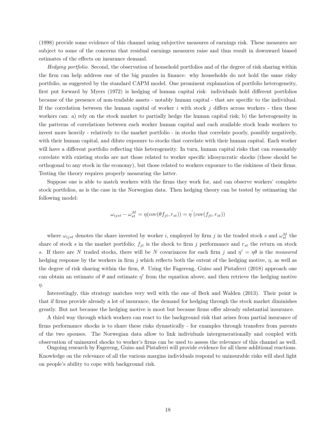(1998) provide some evidence of this channel using subjective measures of earnings risk. These measures are subject to some of the concerns that residual earnings measures raise and thus result in downward biased estimates of the effects on insurance demand.

Hedging portfolio. Second, the observation of household portfolios and of the degree of risk sharing within the firm can help address one of the big puzzles in finance: why households do not hold the same risky portfolio, as suggested by the standard CAPM model. One prominent explanation of portfolio heterogeneity, first put forward by Myers (1972) is hedging of human capital risk: individuals hold different portfolios because of the presence of non-tradable assets - notably human capital - that are specific to the individual. If the correlation between the human capital of worker i with stock j differs across workers - then these workers can: a) rely on the stock market to partially hedge the human capital risk; b) the heterogeneity in the patterns of correlations between each worker human capital and each available stock leads workers to invest more heavily - relatively to the market portfolio - in stocks that correlate poorly, possibly negatively, with their human capital, and dilute exposure to stocks that correlate with their human capital. Each worker will have a different portfolio reflecting this heterogeneity. In turn, human capital risks that can reasonably correlate with existing stocks are not those related to worker specific idiosyncratic shocks (these should be orthogonal to any stock in the economy), but those related to workers exposure to the riskiness of their firms. Testing the theory requires properly measuring the latter.

Suppose one is able to match workers with the firms they work for, and can observe workers' complete stock portfolios, as is the case in the Norwegian data. Then hedging theory can be tested by estimating the following model:

$$
\omega_{ijst} - \omega_{st}^M = \eta(cov(\theta f_{jt}, r_{st})) = \eta^{'}(cov(f_{jt}, r_{st}))
$$

where  $\omega_{ijst}$  denotes the share invested by worker i, employed by firm j in the traded stock s and  $\omega_{st}^M$  the share of stock s in the market portfolio;  $f_{it}$  is the shock to firm j performance and  $r_{st}$  the return on stock s. If there are N traded stocks, there will be N covariances for each firm j and  $\eta' = \eta \theta$  is the measured hedging response by the workers in firm j which reflects both the extent of the hedging motive,  $\eta$ , as well as the degree of risk sharing within the firm,  $\theta$ . Using the Fagereng, Guiso and Pistaferri (2018) approach one can obtain an estimate of  $\theta$  and estimate  $\eta'$  from the equation above, and then retrieve the hedging motive η.

Interestingly, this strategy matches very well with the one of Berk and Walden (2013). Their point is that if firms provide already a lot of insurance, the demand for hedging through the stock market diminishes greatly. But not because the hedging motive is moot but because firms offer already substantial insurance.

A third way through which workers can react to the background risk that arises from partial insurance of firms performance shocks is to share these risks dynastically - for examples through transfers from parents of the two spouses. The Norwegian data allow to link individuals intergenerationally and coupled with observation of uninsured shocks to worker's firms can be used to assess the relevance of this channel as well.

Ongoing research by Fagereng, Guiso and Pistaferri will provide evidence for all these additional reactions. Knowledge on the relevance of all the various margins individuals respond to uninsurable risks will shed light on people's ability to cope with background risk.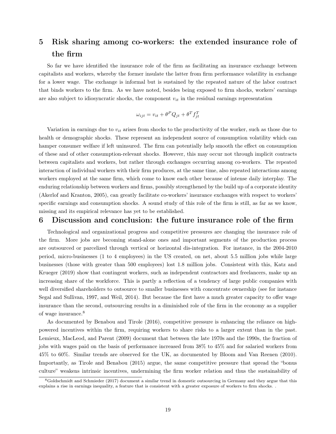# 5 Risk sharing among co-workers: the extended insurance role of the firm

So far we have identified the insurance role of the firm as facilitating an insurance exchange between capitalists and workers, whereby the former insulate the latter from firm performance volatility in exchange for a lower wage. The exchange is informal but is sustained by the repeated nature of the labor contract that binds workers to the firm. As we have noted, besides being exposed to firm shocks, workers' earnings are also subject to idiosyncratic shocks, the component  $v_{it}$  in the residual earnings representation

$$
\omega_{ijt} = v_{it} + \theta^P Q_{jt} + \theta^T f_{jt}^T
$$

Variation in earnings due to  $v_{it}$  arises from shocks to the productivity of the worker, such as those due to health or demographic shocks. These represent an independent source of consumption volatility which can hamper consumer welfare if left uninsured. The firm can potentially help smooth the effect on consumption of these and of other consumption-relevant shocks. However, this may occur not through implicit contracts between capitalists and workers, but rather through exchanges occurring among co-workers. The repeated interaction of individual workers with their firm produces, at the same time, also repeated interactions among workers employed at the same firm, which come to know each other because of intense daily interplay. The enduring relationship between workers and firms, possibly strengthened by the build up of a corporate identity (Akerlof and Kranton, 2005), can greatly facilitate co-workers' insurance exchanges with respect to workers' specific earnings and consumption shocks. A sound study of this role of the firm is still, as far as we know, missing and its empirical relevance has yet to be established.

### 6 Discussion and conclusion: the future insurance role of the firm

Technological and organizational progress and competitive pressures are changing the insurance role of the firm. More jobs are becoming stand-alone ones and important segments of the production process are outsourced or parcelized through vertical or horizontal dis-integration. For instance, in the 2004-2010 period, micro-businesses (1 to 4 employees) in the US created, on net, about 5.5 million jobs while large businesses (those with greater than 500 employees) lost 1.8 million jobs. Consistent with this, Katz and Krueger (2019) show that contingent workers, such as independent contractors and freelancers, make up an increasing share of the workforce. This is partly a reflection of a tendency of large public companies with well diversified shareholders to outsource to smaller businesses with concentrate ownership (see for instance Segal and Sullivan, 1997, and Weil, 2014). But because the first have a much greater capacity to offer wage insurance than the second, outsourcing results in a diminished role of the firm in the economy as a supplier of wage insurance.<sup>8</sup>

As documented by Benabou and Tirole (2016), competitive pressure is enhancing the reliance on highpowered incentives within the firm, requiring workers to share risks to a larger extent than in the past. Lemieux, MacLeod, and Parent (2009) document that between the late 1970s and the 1990s, the fraction of jobs with wages paid on the basis of performance increased from 38% to 45% and for salaried workers from 45% to 60%. Similar trends are observed for the UK, as documented by Bloom and Van Reenen (2010). Importantly, as Tirole and Benabou (2015) argue, the same competitive pressure that spread the "bonus culture" weakens intrinsic incentives, undermining the firm worker relation and thus the sustainability of

<sup>8</sup>Goldschmidt and Schmieder (2017) document a similar trend in domestic outsourcing in Germany and they argue that this explains a rise in earnings inequality, a feature that is consistent with a greater exposure of workers to firm shocks. .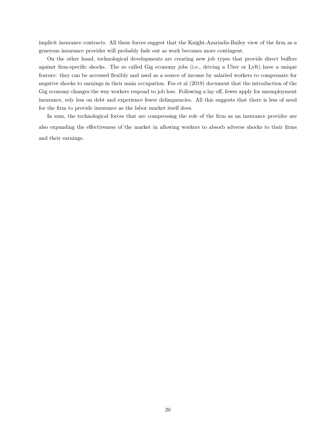implicit insurance contracts. All these forces suggest that the Knight-Azariadis-Bailey view of the firm as a generous insurance provider will probably fade out as work becomes more contingent.

On the other hand, technological developments are creating new job types that provide direct buffers against firm-specific shocks. The so called Gig economy jobs (i.e., driving a Uber or Lyft) have a unique feature: they can be accessed flexibly and used as a source of income by salaried workers to compensate for negative shocks to earnings in their main occupation. Fos et al (2019) document that the introduction of the Gig economy changes the way workers respond to job loss. Following a lay off, fewer apply for unemployment insurance, rely less on debt and experience fewer delinquencies. All this suggests that there is less of need for the firm to provide insurance as the labor market itself does.

In sum, the technological forces that are compressing the role of the firm as an insurance provider are also expanding the effectiveness of the market in allowing workers to absorb adverse shocks to their firms and their earnings.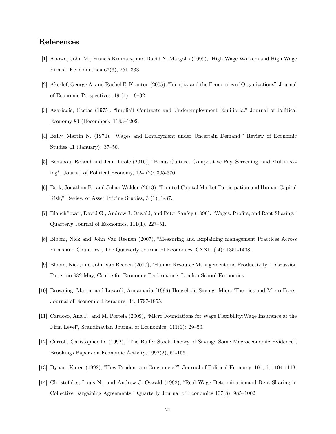# References

- [1] Abowd, John M., Francis Kramarz, and David N. Margolis (1999), "High Wage Workers and High Wage Firms." Econometrica 67(3), 251–333.
- [2] Akerlof, George A. and Rachel E. Kranton (2005), "Identity and the Economics of Organizations", Journal of Economic Perspectives, 19 (1) : 9–32
- [3] Azariadis, Costas (1975), "Implicit Contracts and Underemployment Equilibria." Journal of Political Economy 83 (December): 1183–1202.
- [4] Baily, Martin N. (1974), "Wages and Employment under Uncertain Demand." Review of Economic Studies 41 (January): 37–50.
- [5] Benabou, Roland and Jean Tirole (2016), "Bonus Culture: Competitive Pay, Screening, and Multitasking", Journal of Political Economy, 124 (2): 305-370
- [6] Berk, Jonathan B., and Johan Walden (2013), "Limited Capital Market Participation and Human Capital Risk," Review of Asset Pricing Studies, 3 (1), 1-37.
- [7] Blanchflower, David G., Andrew J. Oswald, and Peter Sanfey (1996), "Wages, Profits, and Rent-Sharing." Quarterly Journal of Economics, 111(1), 227–51.
- [8] Bloom, Nick and John Van Reenen (2007), "Measuring and Explaining management Practices Across Firms and Countries", The Quarterly Journal of Economics, CXXII ( 4): 1351-1408.
- [9] Bloom, Nick, and John Van Reenen (2010), "Human Resource Management and Productivity." Discussion Paper no 982 May, Centre for Economic Performance, London School Economics.
- [10] Browning, Martin and Lusardi, Annamaria (1996) Household Saving: Micro Theories and Micro Facts. Journal of Economic Literature, 34, 1797-1855.
- [11] Cardoso, Ana R. and M. Portela (2009), "Micro Foundations for Wage Flexibility:Wage Insurance at the Firm Level", Scandinavian Journal of Economics, 111(1): 29–50.
- [12] Carroll, Christopher D. (1992), "The Buffer Stock Theory of Saving: Some Macroeconomic Evidence", Brookings Papers on Economic Activity, 1992(2), 61-156.
- [13] Dynan, Karen (1992), "How Prudent are Consumers?", Journal of Political Economy, 101, 6, 1104-1113.
- [14] Christofides, Louis N., and Andrew J. Oswald (1992), "Real Wage Determinationand Rent-Sharing in Collective Bargaining Agreements." Quarterly Journal of Economics 107(8), 985–1002.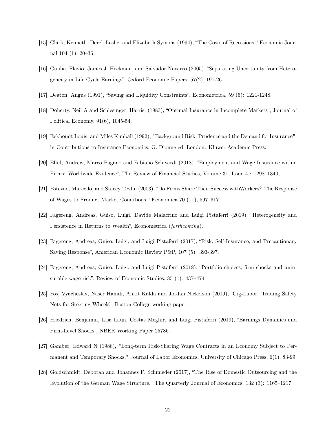- [15] Clark, Kenneth, Derek Leslie, and Elizabeth Symons (1994), "The Costs of Recessions." Economic Journal 104 (1), 20–36.
- [16] Cunha, Flavio, James J. Heckman, and Salvador Navarro (2005), "Separating Uncertainty from Heterogeneity in Life Cycle Earnings", Oxford Economic Papers, 57(2), 191-261.
- [17] Deaton, Angus (1991), "Saving and Liquidity Constraints", Econometrica, 59 (5): 1221-1248.
- [18] Doherty, Neil A and Schlesinger, Harris, (1983), "Optimal Insurance in Incomplete Markets", Journal of Political Economy, 91(6), 1045-54.
- [19] Eekhoudt Louis, and Miles Kimball (1992), "Background Risk, Prudence and the Demand for Insurance", in Contributions to Insurance Economics, G. Dionne ed. London: Kluwer Academic Press.
- [20] Ellul, Andrew, Marco Pagano and Fabiano Schivardi (2018), "Employment and Wage Insurance within Firms: Worldwide Evidence", The Review of Financial Studies, Volume 31, Issue 4 : 1298–1340,
- [21] Estevao, Marcello, and Stacey Tevlin (2003), "Do Firms Share Their Success withWorkers? The Response of Wages to Product Market Conditions." Economica 70 (11), 597–617.
- [22] Fagereng, Andreas, Guiso, Luigi, Davide Malacrino and Luigi Pistaferri (2019), "Heterogeneity and Persistence in Returns to Wealth", Econometrica (forthcoming).
- [23] Fagereng, Andreas, Guiso, Luigi, and Luigi Pistaferri (2017), "Risk, Self-Insurance, and Precautionary Saving Response", American Economic Review P&P, 107 (5): 393-397.
- [24] Fagereng, Andreas, Guiso, Luigi, and Luigi Pistaferri (2018), "Portfolio choices, firm shocks and uninsurable wage risk", Review of Economic Studies, 85 (1): 437–474
- [25] Fos, Vyacheslav, Naser Hamdi, Ankit Kalda and Jordan Nickerson (2019), "Gig-Labor: Trading Safety Nets for Steering Wheels", Boston College working paper .
- [26] Friedrich, Benjamin, Lisa Laun, Costas Meghir, and Luigi Pistaferri (2019), "Earnings Dynamics and Firm-Level Shocks", NBER Working Paper 25786.
- [27] Gamber, Edward N (1988), "Long-term Risk-Sharing Wage Contracts in an Economy Subject to Permanent and Temporary Shocks," Journal of Labor Economics, University of Chicago Press, 6(1), 83-99.
- [28] Goldschmidt, Deborah and Johannes F. Schmieder (2017), "The Rise of Domestic Outsourcing and the Evolution of the German Wage Structure," The Quarterly Journal of Economics, 132 (3): 1165–1217.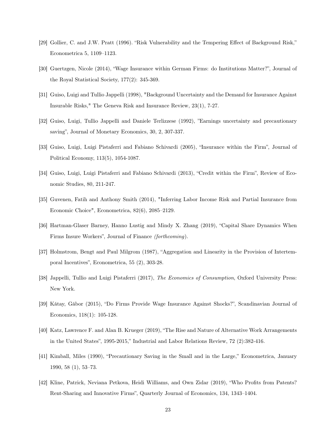- [29] Gollier, C. and J.W. Pratt (1996). "Risk Vulnerability and the Tempering Effect of Background Risk," Econometrica 5, 1109–1123.
- [30] Guertzgen, Nicole (2014), "Wage Insurance within German Firms: do Institutions Matter?", Journal of the Royal Statistical Society, 177(2): 345-369.
- [31] Guiso, Luigi and Tullio Jappelli (1998), "Background Uncertainty and the Demand for Insurance Against Insurable Risks," The Geneva Risk and Insurance Review, 23(1), 7-27.
- [32] Guiso, Luigi, Tullio Jappelli and Daniele Terlizzese (1992), "Earnings uncertainty and precautionary saving", Journal of Monetary Economics, 30, 2, 307-337.
- [33] Guiso, Luigi, Luigi Pistaferri and Fabiano Schivardi (2005), "Insurance within the Firm", Journal of Political Economy, 113(5), 1054-1087.
- [34] Guiso, Luigi, Luigi Pistaferri and Fabiano Schivardi (2013), "Credit within the Firm", Review of Economic Studies, 80, 211-247.
- [35] Guvenen, Fatih and Anthony Smith (2014), "Inferring Labor Income Risk and Partial Insurance from Economic Choice", Econometrica, 82(6), 2085–2129.
- [36] Hartman-Glaser Barney, Hanno Lustig and Mindy X. Zhang (2019), "Capital Share Dynamics When Firms Insure Workers", Journal of Finance (forthcoming).
- [37] Holmstrom, Bengt and Paul Milgrom (1987), "Aggregation and Linearity in the Provision of Intertemporal Incentives", Econometrica, 55 (2), 303-28.
- [38] Jappelli, Tullio and Luigi Pistaferri (2017), The Economics of Consumption, Oxford University Press: New York.
- [39] Kátay, Gábor (2015), "Do Firms Provide Wage Insurance Against Shocks?", Scandinavian Journal of Economics, 118(1): 105-128.
- [40] Katz, Lawrence F. and Alan B. Krueger (2019), "The Rise and Nature of Alternative Work Arrangements in the United States", 1995-2015," Industrial and Labor Relations Review, 72 (2):382-416.
- [41] Kimball, Miles (1990), "Precautionary Saving in the Small and in the Large," Econometrica, January 1990, 58 (1), 53–73.
- [42] Kline, Patrick, Neviana Petkova, Heidi Williams, and Own Zidar (2019), "Who Profits from Patents? Rent-Sharing and Innovative Firms", Quarterly Journal of Economics, 134, 1343–1404.